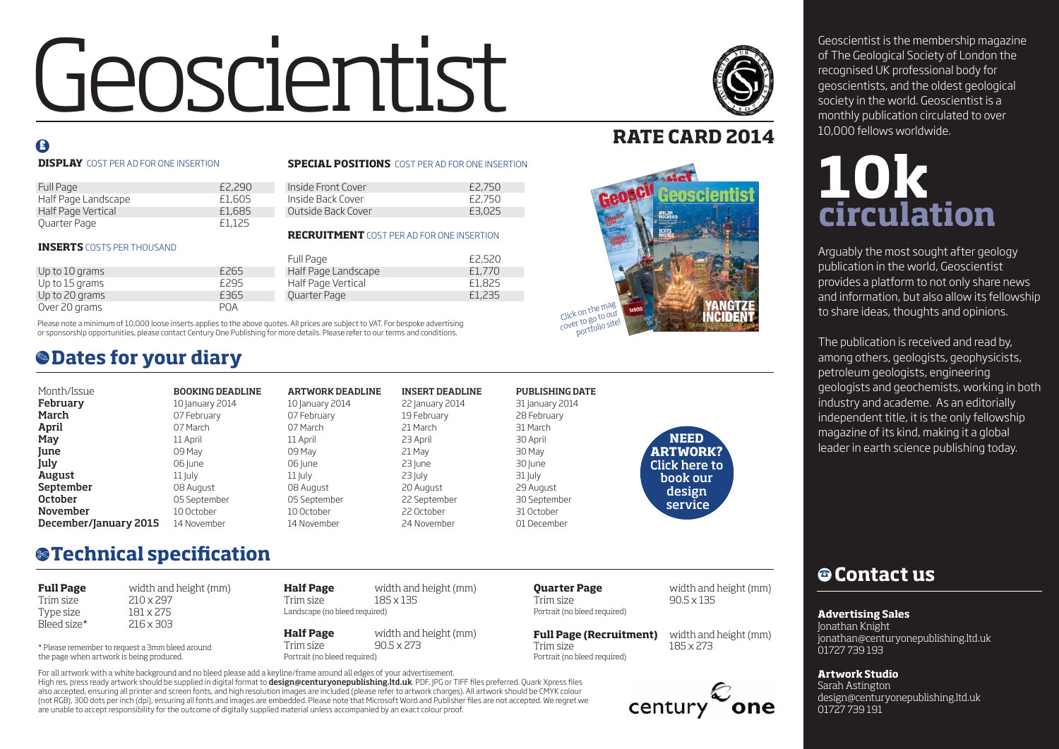# Geoscientist is the membership magazine<br>of The Geological Society of London the<br>geoscientists, and the oldest geological<br>society in the world. Geoscientist is a

# $\mathbf{F}$

#### **DISPLAY** COST PER AD FOR ONE INSERTION

#### Full Page £2,290 Half Page Landscape £1,605 Half Page Vertical Quarter Page **E1,125**

#### **INSERTS** COSTS PER THOUSAND

|                |            | Full Page           | £2,520 |
|----------------|------------|---------------------|--------|
| Up to 10 grams | £265       | Half Page Landscape | £1.770 |
| Up to 15 grams | £295       | Half Page Vertical  | £1,825 |
| Up to 20 grams | £365       | Quarter Page        | £1,235 |
| Over 20 grams  | <b>POA</b> |                     |        |

Please note a minimum of 10,000 loose inserts applies to the above quotes. All prices are subject to VAT. For bespoke advertising or sponsorship opportunities, please contact Century One Publishing for more details. Please refer to our terms and conditions.

# **Dates for your diary** .

| Month/Issue           | <b>BOOKING DEADLINE</b> | <b>ARTWORK DEADLINE</b> | <b>INSERT DEADLINE</b> | <b>PUBLISHING DATE</b> |                |
|-----------------------|-------------------------|-------------------------|------------------------|------------------------|----------------|
| February              | 10 January 2014         | 10 January 2014         | 22 January 2014        | 31 January 2014        |                |
| March                 | 07 February             | 07 February             | 19 February            | 28 February            |                |
| April                 | 07 March                | 07 March                | 21 March               | 31 March               |                |
| May                   | 11 April                | 11 April                | 23 April               | 30 April               | <b>NEED</b>    |
| June                  | 09 May                  | 09 May                  | 21 May                 | 30 May                 | <b>ARTWOR</b>  |
| July                  | 06 lune                 | 06 June                 | 23 lune                | 30 June                | Click here     |
| August                | $11$ July               | $11$  uly               | $23$ July              | 31 July                | book ou        |
| September             | 08 August               | 08 August               | 20 August              | 29 August              | design         |
| October               | 05 September            | 05 September            | 22 September           | 30 September           | <b>Service</b> |
| November              | 10 October              | 10 October              | 22 October             | 31 October             |                |
| December/January 2015 | 14 November             | 14 November             | 24 November            | 01 December            |                |
|                       |                         |                         |                        |                        |                |

**SPECIAL POSITIONS** COST PER AD FOR ONE INSERTION

Inside Front Cover **E2,750**<br>Inside Back Cover **62,750** Inside Back Cover **£2,750**<br>Outside Back Cover **£3,025** 

**RECRUITMENT** COST PER AD FOR ONE INSERTION

Outside Back Cover

# **Technical specification** \$

| <b>Full Page</b> | width and height (mm) |
|------------------|-----------------------|
| Trim size        | $210 \times 297$      |
| Type size        | 181 x 275             |
| Bleed size*      | $216 \times 303$      |
|                  |                       |

\* Please remember to request a 3mm bleed around the page when artwork is being produced.

| Half Page                     | width and height (mm) |
|-------------------------------|-----------------------|
| Trim size                     | $185 \times 135$      |
| Landscape (no bleed required) |                       |
|                               |                       |

**Half Page** width and height (mm) Trim size 90.5 x 273 Portrait (no bleed required)

Portrait (no bleed required)

Portrait (no bleed required)

Trim size  $90.5 \times 135$ 

**Quarter Page** width and height (mm)

century

**RATE CARD 2014**



**ARTWORK?** to book our design service

of The Geological Society of London the recognised UK professional body for geoscientists, and the oldest geological society in the world. Geoscientist is a monthly publication circulated to over 10,000 fellows worldwide.

# **10k circulation**

Arguably the most sought after geology publication in the world, Geoscientist provides a platform to not only share news and information, but also allow its fellowship to share ideas, thoughts and opinions.

The publication is received and read by, among others, geologists, geophysicists, petroleum geologists, engineering geologists and geochemists, working in both industry and academe. As an editorially independent title, it is the only fellowship magazine of its kind, making it a global leader in earth science publishing today.

# % **Contact us**

**Advertising Sales**

Jonathan Knight jonathan@centuryonepublishing.ltd.uk 01727 739 193

**Artwork Studio** Sarah Astington design@centuryonepublishing.ltd.uk 01727 739 191

High res, press ready artwork should be supplied in digital format to design@centuryonepublishing.Itd.uk. PDF, JPG or TIFF files preferred. Quark Xpress files also accepted, ensuring all printer and screen fonts, and high resolution images are included (please refer to artwork charges). All artwork should be CMYK colour (not RGB), 300 dots per inch (dpi), ensuring all fonts and images are embedded. Please note that Microsoft Word and Publisher files are not accepted. We regret we are unable to accept responsibility for the outcome of digitally supplied material unless accompanied by an exact colour proof. For all artwork with a white background and no bleed please add a keyline/frame around all edges of your advertisement.